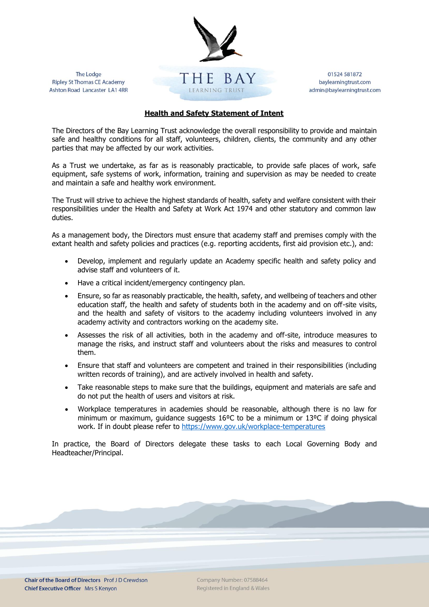

The Lodge **Ripley St Thomas CE Academy** Ashton Road Lancaster LA1 4RR

01524 581872 baylearningtrust.com admin@baylearningtrust.com

## **Health and Safety Statement of Intent**

The Directors of the Bay Learning Trust acknowledge the overall responsibility to provide and maintain safe and healthy conditions for all staff, volunteers, children, clients, the community and any other parties that may be affected by our work activities.

As a Trust we undertake, as far as is reasonably practicable, to provide safe places of work, safe equipment, safe systems of work, information, training and supervision as may be needed to create and maintain a safe and healthy work environment.

The Trust will strive to achieve the highest standards of health, safety and welfare consistent with their responsibilities under the Health and Safety at Work Act 1974 and other statutory and common law duties.

As a management body, the Directors must ensure that academy staff and premises comply with the extant health and safety policies and practices (e.g. reporting accidents, first aid provision etc.), and:

- Develop, implement and regularly update an Academy specific health and safety policy and advise staff and volunteers of it.
- Have a critical incident/emergency contingency plan.
- Ensure, so far as reasonably practicable, the health, safety, and wellbeing of teachers and other education staff, the health and safety of students both in the academy and on off-site visits, and the health and safety of visitors to the academy including volunteers involved in any academy activity and contractors working on the academy site.
- Assesses the risk of all activities, both in the academy and off-site, introduce measures to manage the risks, and instruct staff and volunteers about the risks and measures to control them.
- Ensure that staff and volunteers are competent and trained in their responsibilities (including written records of training), and are actively involved in health and safety.
- Take reasonable steps to make sure that the buildings, equipment and materials are safe and do not put the health of users and visitors at risk.
- Workplace temperatures in academies should be reasonable, although there is no law for minimum or maximum, guidance suggests 16<sup>o</sup>C to be a minimum or 13<sup>o</sup>C if doing physical work. If in doubt please refer to<https://www.gov.uk/workplace-temperatures>

In practice, the Board of Directors delegate these tasks to each Local Governing Body and Headteacher/Principal.